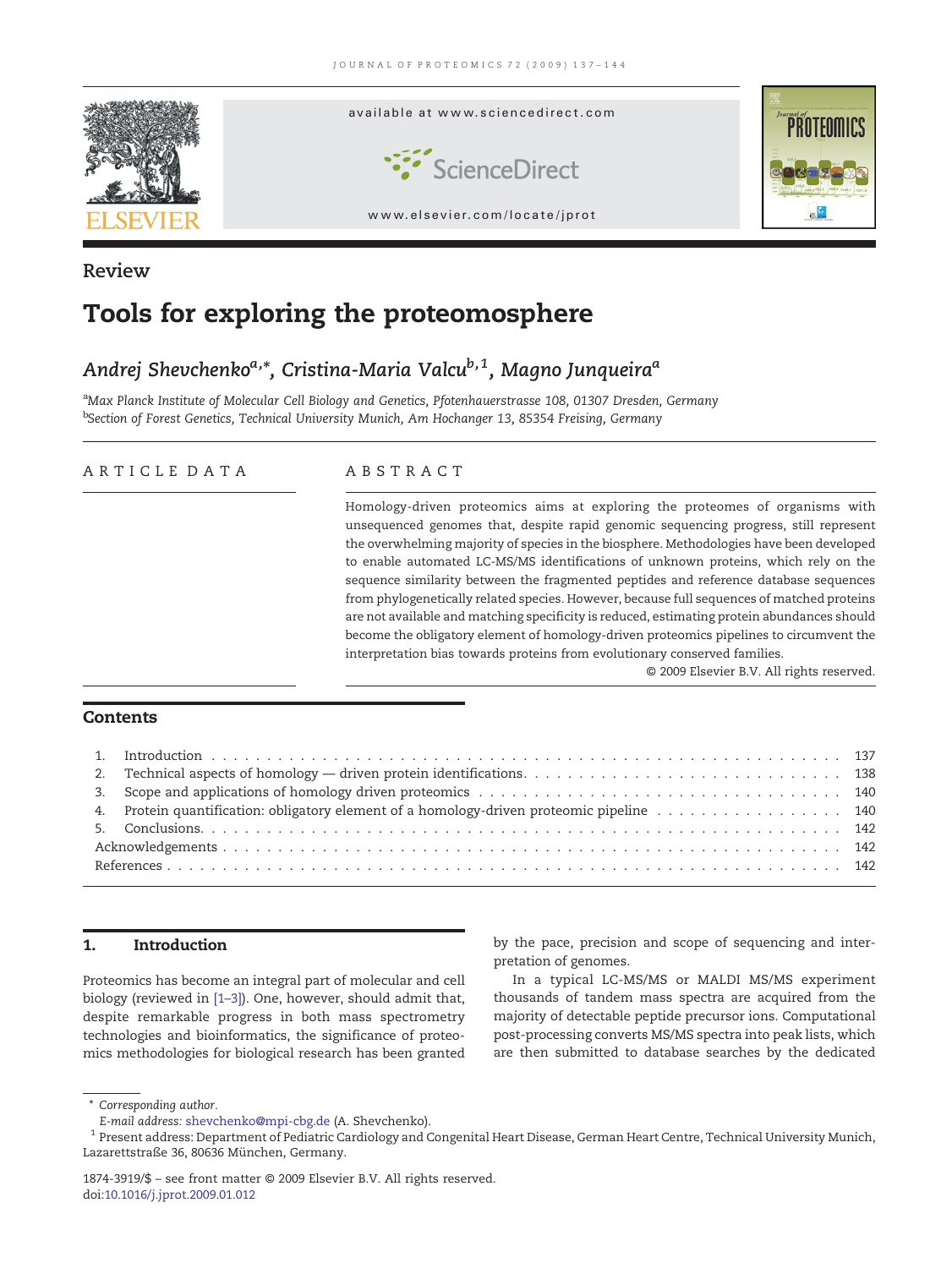

# Review Tools for exploring the proteomosphere

## Andrej Shevchenko<sup>a,\*</sup>, Cristina-Maria Valcu<sup>b,1</sup>, Magno Junqueira<sup>a</sup>

<sup>a</sup>Max Planck Institute of Molecular Cell Biology and Genetics, Pfotenhauerstrasse 108, 01307 Dresden, Germany <sup>b</sup>Section of Forest Genetics, Technical University Munich, Am Hochanger 13, 85354 Freising, Germany

#### ARTICLE DATA ABSTRACT

Homology-driven proteomics aims at exploring the proteomes of organisms with unsequenced genomes that, despite rapid genomic sequencing progress, still represent the overwhelming majority of species in the biosphere. Methodologies have been developed to enable automated LC-MS/MS identifications of unknown proteins, which rely on the sequence similarity between the fragmented peptides and reference database sequences from phylogenetically related species. However, because full sequences of matched proteins are not available and matching specificity is reduced, estimating protein abundances should become the obligatory element of homology-driven proteomics pipelines to circumvent the interpretation bias towards proteins from evolutionary conserved families.

© 2009 Elsevier B.V. All rights reserved.

#### **Contents**

|  | 4. Protein quantification: obligatory element of a homology-driven proteomic pipeline 140 |  |  |  |  |
|--|-------------------------------------------------------------------------------------------|--|--|--|--|
|  |                                                                                           |  |  |  |  |
|  |                                                                                           |  |  |  |  |
|  |                                                                                           |  |  |  |  |

#### 1. Introduction

Proteomics has become an integral part of molecular and cell biology (reviewed in [\[1](#page-5-0)–3]). One, however, should admit that, despite remarkable progress in both mass spectrometry technologies and bioinformatics, the significance of proteomics methodologies for biological research has been granted by the pace, precision and scope of sequencing and interpretation of genomes.

In a typical LC-MS/MS or MALDI MS/MS experiment thousands of tandem mass spectra are acquired from the majority of detectable peptide precursor ions. Computational post-processing converts MS/MS spectra into peak lists, which are then submitted to database searches by the dedicated

<sup>⁎</sup> Corresponding author.

E-mail address: [shevchenko@mpi-cbg.de](mailto:shevchenko@mpi-cbg.de) (A. Shevchenko).

<sup>&</sup>lt;sup>1</sup> Present address: Department of Pediatric Cardiology and Congenital Heart Disease, German Heart Centre, Technical University Munich, Lazarettstraße 36, 80636 München, Germany.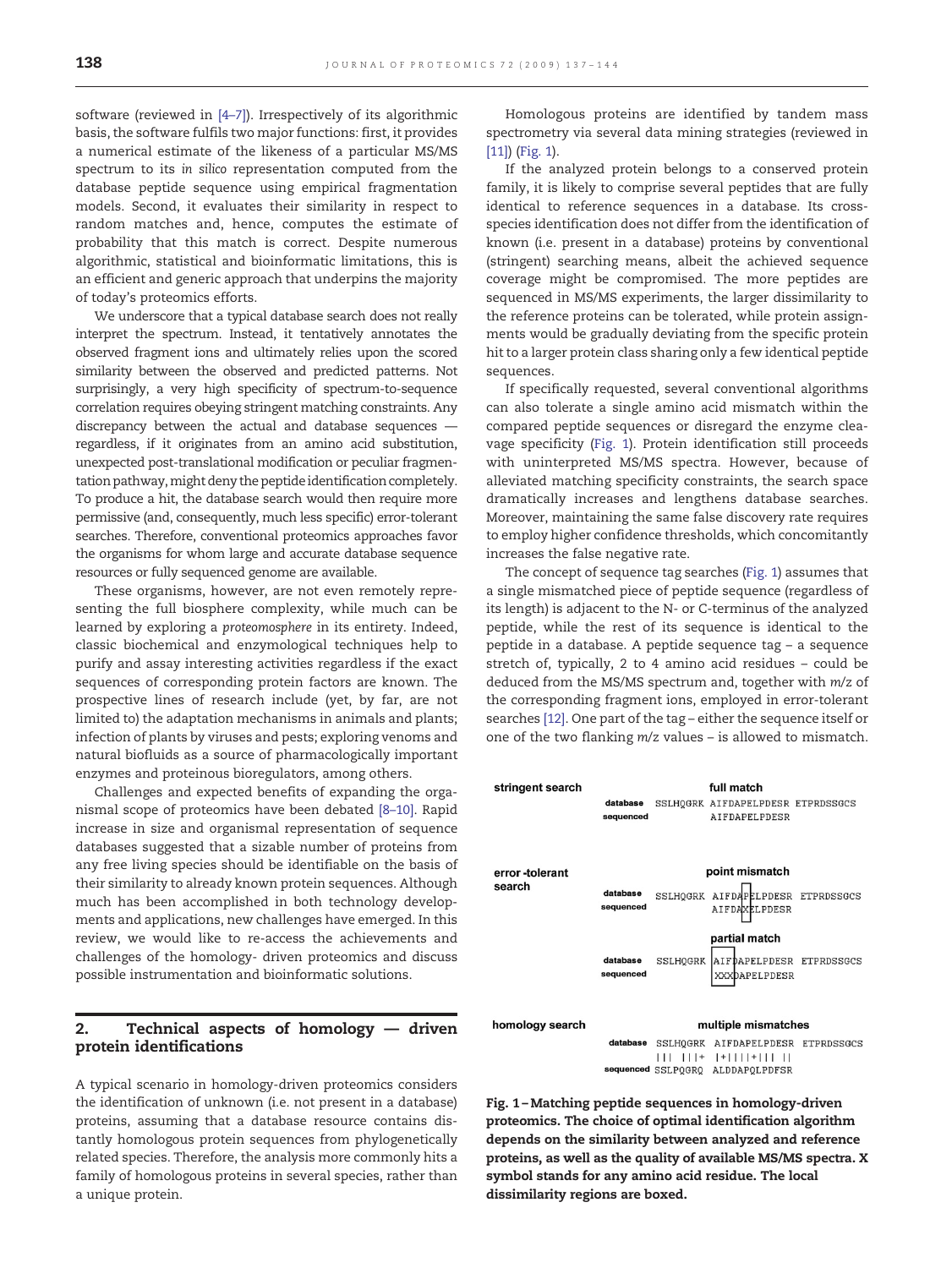<span id="page-1-0"></span>software (reviewed in [\[4](#page-6-0)–7]). Irrespectively of its algorithmic basis, the software fulfils two major functions: first, it provides a numerical estimate of the likeness of a particular MS/MS spectrum to its in silico representation computed from the database peptide sequence using empirical fragmentation models. Second, it evaluates their similarity in respect to random matches and, hence, computes the estimate of probability that this match is correct. Despite numerous algorithmic, statistical and bioinformatic limitations, this is an efficient and generic approach that underpins the majority of today's proteomics efforts.

We underscore that a typical database search does not really interpret the spectrum. Instead, it tentatively annotates the observed fragment ions and ultimately relies upon the scored similarity between the observed and predicted patterns. Not surprisingly, a very high specificity of spectrum-to-sequence correlation requires obeying stringent matching constraints. Any discrepancy between the actual and database sequences regardless, if it originates from an amino acid substitution, unexpected post-translational modification or peculiar fragmentation pathway,might deny the peptide identification completely. To produce a hit, the database search would then require more permissive (and, consequently, much less specific) error-tolerant searches. Therefore, conventional proteomics approaches favor the organisms for whom large and accurate database sequence resources or fully sequenced genome are available.

These organisms, however, are not even remotely representing the full biosphere complexity, while much can be learned by exploring a proteomosphere in its entirety. Indeed, classic biochemical and enzymological techniques help to purify and assay interesting activities regardless if the exact sequences of corresponding protein factors are known. The prospective lines of research include (yet, by far, are not limited to) the adaptation mechanisms in animals and plants; infection of plants by viruses and pests; exploring venoms and natural biofluids as a source of pharmacologically important enzymes and proteinous bioregulators, among others.

Challenges and expected benefits of expanding the organismal scope of proteomics have been debated [8–[10\]](#page-6-0). Rapid increase in size and organismal representation of sequence databases suggested that a sizable number of proteins from any free living species should be identifiable on the basis of their similarity to already known protein sequences. Although much has been accomplished in both technology developments and applications, new challenges have emerged. In this review, we would like to re-access the achievements and challenges of the homology- driven proteomics and discuss possible instrumentation and bioinformatic solutions.

#### 2. Technical aspects of homology — driven protein identifications

A typical scenario in homology-driven proteomics considers the identification of unknown (i.e. not present in a database) proteins, assuming that a database resource contains distantly homologous protein sequences from phylogenetically related species. Therefore, the analysis more commonly hits a family of homologous proteins in several species, rather than a unique protein.

Homologous proteins are identified by tandem mass spectrometry via several data mining strategies (reviewed in [\[11\]](#page-6-0)) (Fig. 1).

If the analyzed protein belongs to a conserved protein family, it is likely to comprise several peptides that are fully identical to reference sequences in a database. Its crossspecies identification does not differ from the identification of known (i.e. present in a database) proteins by conventional (stringent) searching means, albeit the achieved sequence coverage might be compromised. The more peptides are sequenced in MS/MS experiments, the larger dissimilarity to the reference proteins can be tolerated, while protein assignments would be gradually deviating from the specific protein hit to a larger protein class sharing only a few identical peptide sequences.

If specifically requested, several conventional algorithms can also tolerate a single amino acid mismatch within the compared peptide sequences or disregard the enzyme cleavage specificity (Fig. 1). Protein identification still proceeds with uninterpreted MS/MS spectra. However, because of alleviated matching specificity constraints, the search space dramatically increases and lengthens database searches. Moreover, maintaining the same false discovery rate requires to employ higher confidence thresholds, which concomitantly increases the false negative rate.

The concept of sequence tag searches (Fig. 1) assumes that a single mismatched piece of peptide sequence (regardless of its length) is adjacent to the N- or C-terminus of the analyzed peptide, while the rest of its sequence is identical to the peptide in a database. A peptide sequence tag – a sequence stretch of, typically, 2 to 4 amino acid residues – could be deduced from the MS/MS spectrum and, together with m/z of the corresponding fragment ions, employed in error-tolerant searches [\[12\].](#page-6-0) One part of the tag – either the sequence itself or one of the two flanking m/z values – is allowed to mismatch.



Fig. 1 – Matching peptide sequences in homology-driven proteomics. The choice of optimal identification algorithm depends on the similarity between analyzed and reference proteins, as well as the quality of available MS/MS spectra. X symbol stands for any amino acid residue. The local dissimilarity regions are boxed.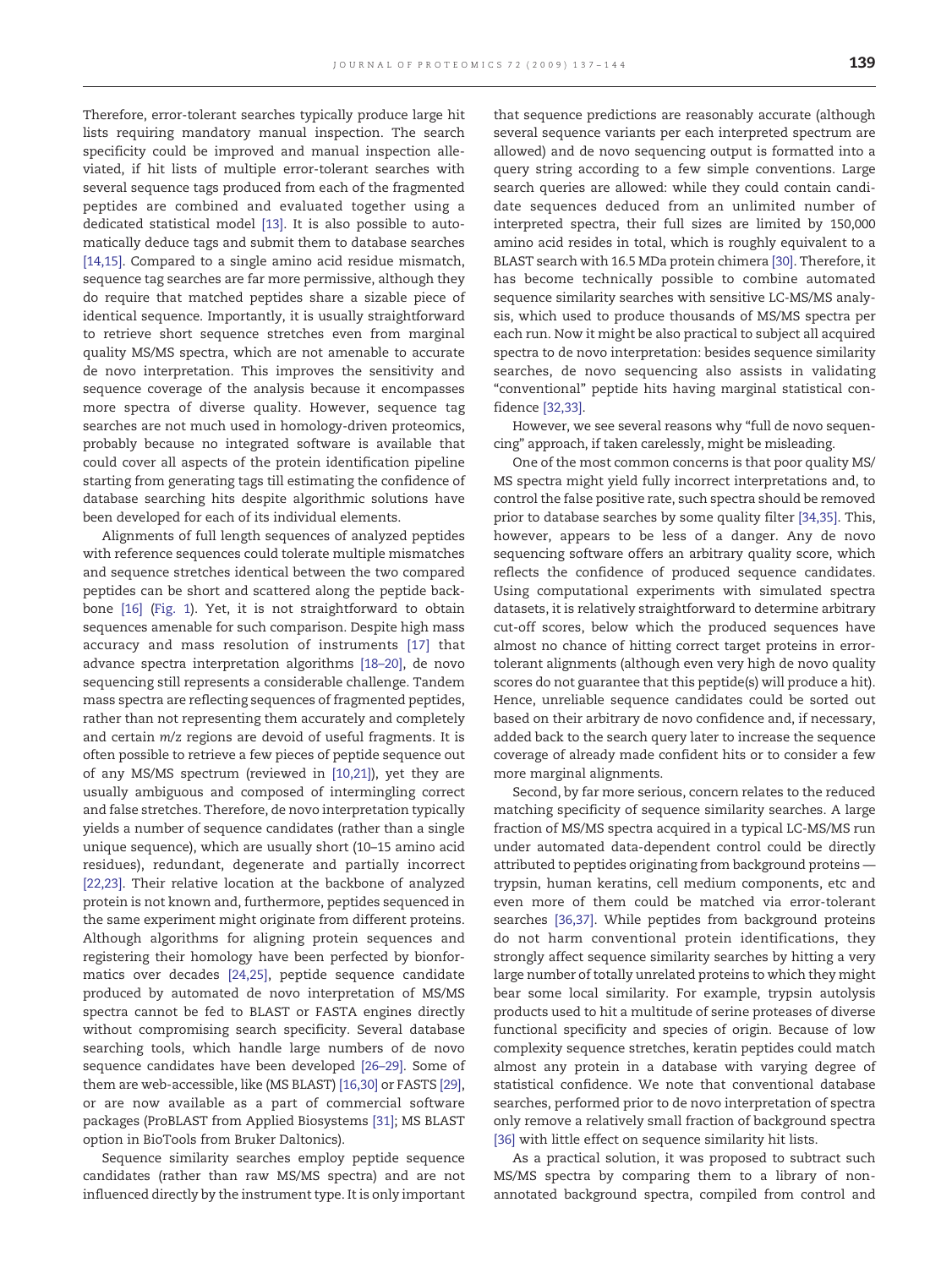Therefore, error-tolerant searches typically produce large hit lists requiring mandatory manual inspection. The search specificity could be improved and manual inspection alleviated, if hit lists of multiple error-tolerant searches with several sequence tags produced from each of the fragmented peptides are combined and evaluated together using a dedicated statistical model [\[13\]](#page-6-0). It is also possible to automatically deduce tags and submit them to database searches [\[14,15\].](#page-6-0) Compared to a single amino acid residue mismatch, sequence tag searches are far more permissive, although they do require that matched peptides share a sizable piece of identical sequence. Importantly, it is usually straightforward to retrieve short sequence stretches even from marginal quality MS/MS spectra, which are not amenable to accurate de novo interpretation. This improves the sensitivity and sequence coverage of the analysis because it encompasses more spectra of diverse quality. However, sequence tag searches are not much used in homology-driven proteomics, probably because no integrated software is available that could cover all aspects of the protein identification pipeline starting from generating tags till estimating the confidence of database searching hits despite algorithmic solutions have been developed for each of its individual elements.

Alignments of full length sequences of analyzed peptides with reference sequences could tolerate multiple mismatches and sequence stretches identical between the two compared peptides can be short and scattered along the peptide backbone [\[16\]](#page-6-0) ([Fig. 1](#page-1-0)). Yet, it is not straightforward to obtain sequences amenable for such comparison. Despite high mass accuracy and mass resolution of instruments [\[17\]](#page-6-0) that advance spectra interpretation algorithms [18–[20\]](#page-6-0), de novo sequencing still represents a considerable challenge. Tandem mass spectra are reflecting sequences of fragmented peptides, rather than not representing them accurately and completely and certain m/z regions are devoid of useful fragments. It is often possible to retrieve a few pieces of peptide sequence out of any MS/MS spectrum (reviewed in [\[10,21\]](#page-6-0)), yet they are usually ambiguous and composed of intermingling correct and false stretches. Therefore, de novo interpretation typically yields a number of sequence candidates (rather than a single unique sequence), which are usually short (10–15 amino acid residues), redundant, degenerate and partially incorrect [\[22,23\].](#page-6-0) Their relative location at the backbone of analyzed protein is not known and, furthermore, peptides sequenced in the same experiment might originate from different proteins. Although algorithms for aligning protein sequences and registering their homology have been perfected by bionformatics over decades [\[24,25\],](#page-6-0) peptide sequence candidate produced by automated de novo interpretation of MS/MS spectra cannot be fed to BLAST or FASTA engines directly without compromising search specificity. Several database searching tools, which handle large numbers of de novo sequence candidates have been developed [\[26](#page-6-0)–29]. Some of them are web-accessible, like (MS BLAST) [\[16,30\]](#page-6-0) or FASTS [\[29\],](#page-6-0) or are now available as a part of commercial software packages (ProBLAST from Applied Biosystems [\[31\];](#page-6-0) MS BLAST option in BioTools from Bruker Daltonics).

Sequence similarity searches employ peptide sequence candidates (rather than raw MS/MS spectra) and are not influenced directly by the instrument type. It is only important

that sequence predictions are reasonably accurate (although several sequence variants per each interpreted spectrum are allowed) and de novo sequencing output is formatted into a query string according to a few simple conventions. Large search queries are allowed: while they could contain candidate sequences deduced from an unlimited number of interpreted spectra, their full sizes are limited by 150,000 amino acid resides in total, which is roughly equivalent to a BLAST search with 16.5 MDa protein chimera [\[30\].](#page-6-0) Therefore, it has become technically possible to combine automated sequence similarity searches with sensitive LC-MS/MS analysis, which used to produce thousands of MS/MS spectra per each run. Now it might be also practical to subject all acquired spectra to de novo interpretation: besides sequence similarity searches, de novo sequencing also assists in validating "conventional" peptide hits having marginal statistical confidence [\[32,33\]](#page-6-0).

However, we see several reasons why "full de novo sequencing" approach, if taken carelessly, might be misleading.

One of the most common concerns is that poor quality MS/ MS spectra might yield fully incorrect interpretations and, to control the false positive rate, such spectra should be removed prior to database searches by some quality filter [\[34,35\]](#page-6-0). This, however, appears to be less of a danger. Any de novo sequencing software offers an arbitrary quality score, which reflects the confidence of produced sequence candidates. Using computational experiments with simulated spectra datasets, it is relatively straightforward to determine arbitrary cut-off scores, below which the produced sequences have almost no chance of hitting correct target proteins in errortolerant alignments (although even very high de novo quality scores do not guarantee that this peptide(s) will produce a hit). Hence, unreliable sequence candidates could be sorted out based on their arbitrary de novo confidence and, if necessary, added back to the search query later to increase the sequence coverage of already made confident hits or to consider a few more marginal alignments.

Second, by far more serious, concern relates to the reduced matching specificity of sequence similarity searches. A large fraction of MS/MS spectra acquired in a typical LC-MS/MS run under automated data-dependent control could be directly attributed to peptides originating from background proteins trypsin, human keratins, cell medium components, etc and even more of them could be matched via error-tolerant searches [\[36,37\].](#page-6-0) While peptides from background proteins do not harm conventional protein identifications, they strongly affect sequence similarity searches by hitting a very large number of totally unrelated proteins to which they might bear some local similarity. For example, trypsin autolysis products used to hit a multitude of serine proteases of diverse functional specificity and species of origin. Because of low complexity sequence stretches, keratin peptides could match almost any protein in a database with varying degree of statistical confidence. We note that conventional database searches, performed prior to de novo interpretation of spectra only remove a relatively small fraction of background spectra [\[36\]](#page-6-0) with little effect on sequence similarity hit lists.

As a practical solution, it was proposed to subtract such MS/MS spectra by comparing them to a library of nonannotated background spectra, compiled from control and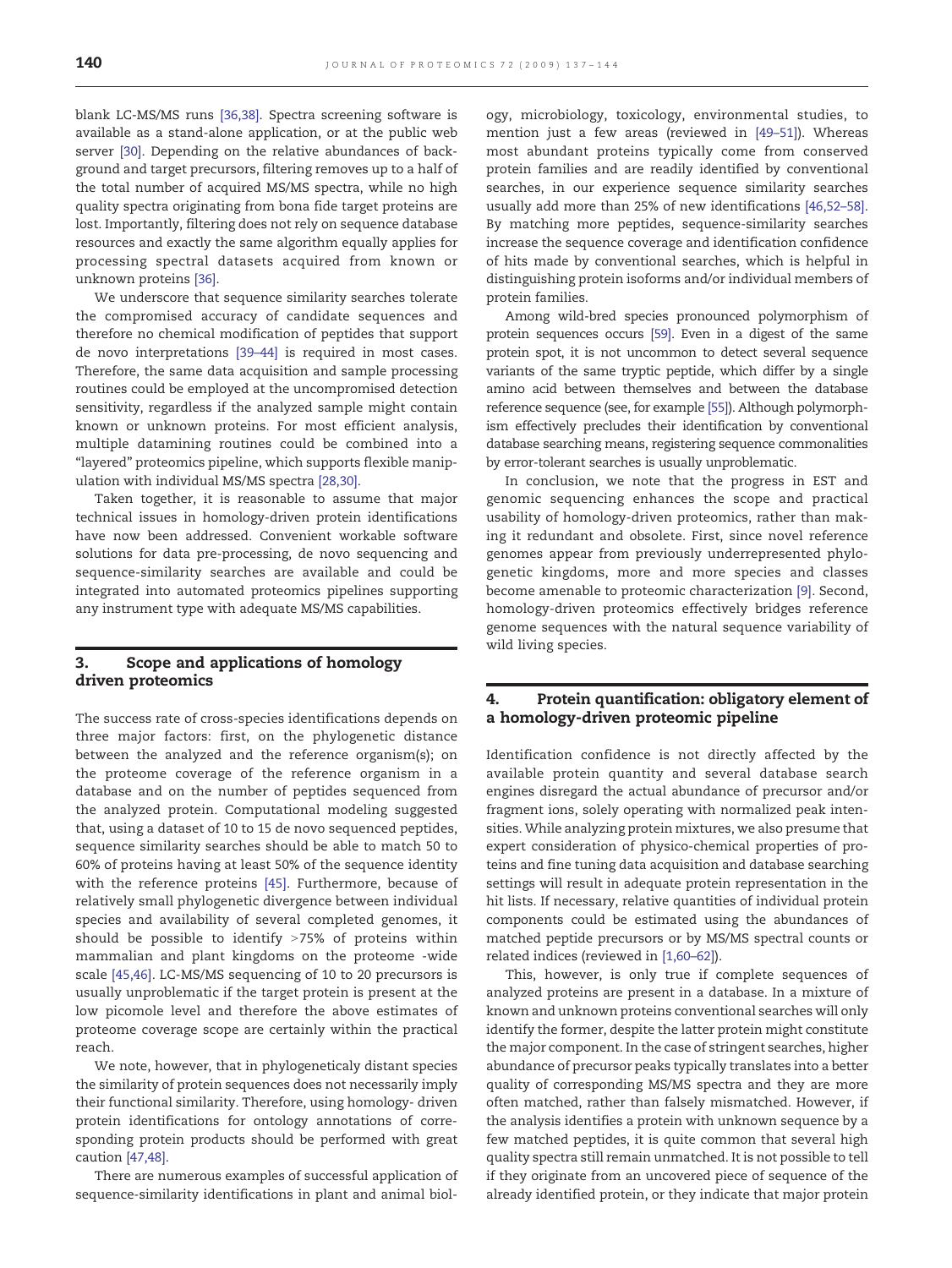blank LC-MS/MS runs [\[36,38\]](#page-6-0). Spectra screening software is available as a stand-alone application, or at the public web server [\[30\].](#page-6-0) Depending on the relative abundances of background and target precursors, filtering removes up to a half of the total number of acquired MS/MS spectra, while no high quality spectra originating from bona fide target proteins are lost. Importantly, filtering does not rely on sequence database resources and exactly the same algorithm equally applies for processing spectral datasets acquired from known or unknown proteins [\[36\]](#page-6-0).

We underscore that sequence similarity searches tolerate the compromised accuracy of candidate sequences and therefore no chemical modification of peptides that support de novo interpretations [39–[44\]](#page-6-0) is required in most cases. Therefore, the same data acquisition and sample processing routines could be employed at the uncompromised detection sensitivity, regardless if the analyzed sample might contain known or unknown proteins. For most efficient analysis, multiple datamining routines could be combined into a "layered" proteomics pipeline, which supports flexible manipulation with individual MS/MS spectra [\[28,30\].](#page-6-0)

Taken together, it is reasonable to assume that major technical issues in homology-driven protein identifications have now been addressed. Convenient workable software solutions for data pre-processing, de novo sequencing and sequence-similarity searches are available and could be integrated into automated proteomics pipelines supporting any instrument type with adequate MS/MS capabilities.

#### 3. Scope and applications of homology driven proteomics

The success rate of cross-species identifications depends on three major factors: first, on the phylogenetic distance between the analyzed and the reference organism(s); on the proteome coverage of the reference organism in a database and on the number of peptides sequenced from the analyzed protein. Computational modeling suggested that, using a dataset of 10 to 15 de novo sequenced peptides, sequence similarity searches should be able to match 50 to 60% of proteins having at least 50% of the sequence identity with the reference proteins [\[45\]](#page-7-0). Furthermore, because of relatively small phylogenetic divergence between individual species and availability of several completed genomes, it should be possible to identify  $>75%$  of proteins within mammalian and plant kingdoms on the proteome -wide scale [\[45,46\]](#page-7-0). LC-MS/MS sequencing of 10 to 20 precursors is usually unproblematic if the target protein is present at the low picomole level and therefore the above estimates of proteome coverage scope are certainly within the practical reach.

We note, however, that in phylogeneticaly distant species the similarity of protein sequences does not necessarily imply their functional similarity. Therefore, using homology- driven protein identifications for ontology annotations of corresponding protein products should be performed with great caution [\[47,48\].](#page-7-0)

There are numerous examples of successful application of sequence-similarity identifications in plant and animal biology, microbiology, toxicology, environmental studies, to mention just a few areas (reviewed in [49–[51\]](#page-7-0)). Whereas most abundant proteins typically come from conserved protein families and are readily identified by conventional searches, in our experience sequence similarity searches usually add more than 25% of new identifications [\[46,52](#page-7-0)–58]. By matching more peptides, sequence-similarity searches increase the sequence coverage and identification confidence of hits made by conventional searches, which is helpful in distinguishing protein isoforms and/or individual members of protein families.

Among wild-bred species pronounced polymorphism of protein sequences occurs [\[59\]](#page-7-0). Even in a digest of the same protein spot, it is not uncommon to detect several sequence variants of the same tryptic peptide, which differ by a single amino acid between themselves and between the database reference sequence (see, for example [\[55\]\)](#page-7-0). Although polymorphism effectively precludes their identification by conventional database searching means, registering sequence commonalities by error-tolerant searches is usually unproblematic.

In conclusion, we note that the progress in EST and genomic sequencing enhances the scope and practical usability of homology-driven proteomics, rather than making it redundant and obsolete. First, since novel reference genomes appear from previously underrepresented phylogenetic kingdoms, more and more species and classes become amenable to proteomic characterization [\[9\]](#page-6-0). Second, homology-driven proteomics effectively bridges reference genome sequences with the natural sequence variability of wild living species.

#### 4. Protein quantification: obligatory element of a homology-driven proteomic pipeline

Identification confidence is not directly affected by the available protein quantity and several database search engines disregard the actual abundance of precursor and/or fragment ions, solely operating with normalized peak intensities. While analyzing protein mixtures, we also presume that expert consideration of physico-chemical properties of proteins and fine tuning data acquisition and database searching settings will result in adequate protein representation in the hit lists. If necessary, relative quantities of individual protein components could be estimated using the abundances of matched peptide precursors or by MS/MS spectral counts or related indices (reviewed in [\[1,60](#page-5-0)–62]).

This, however, is only true if complete sequences of analyzed proteins are present in a database. In a mixture of known and unknown proteins conventional searches will only identify the former, despite the latter protein might constitute the major component. In the case of stringent searches, higher abundance of precursor peaks typically translates into a better quality of corresponding MS/MS spectra and they are more often matched, rather than falsely mismatched. However, if the analysis identifies a protein with unknown sequence by a few matched peptides, it is quite common that several high quality spectra still remain unmatched. It is not possible to tell if they originate from an uncovered piece of sequence of the already identified protein, or they indicate that major protein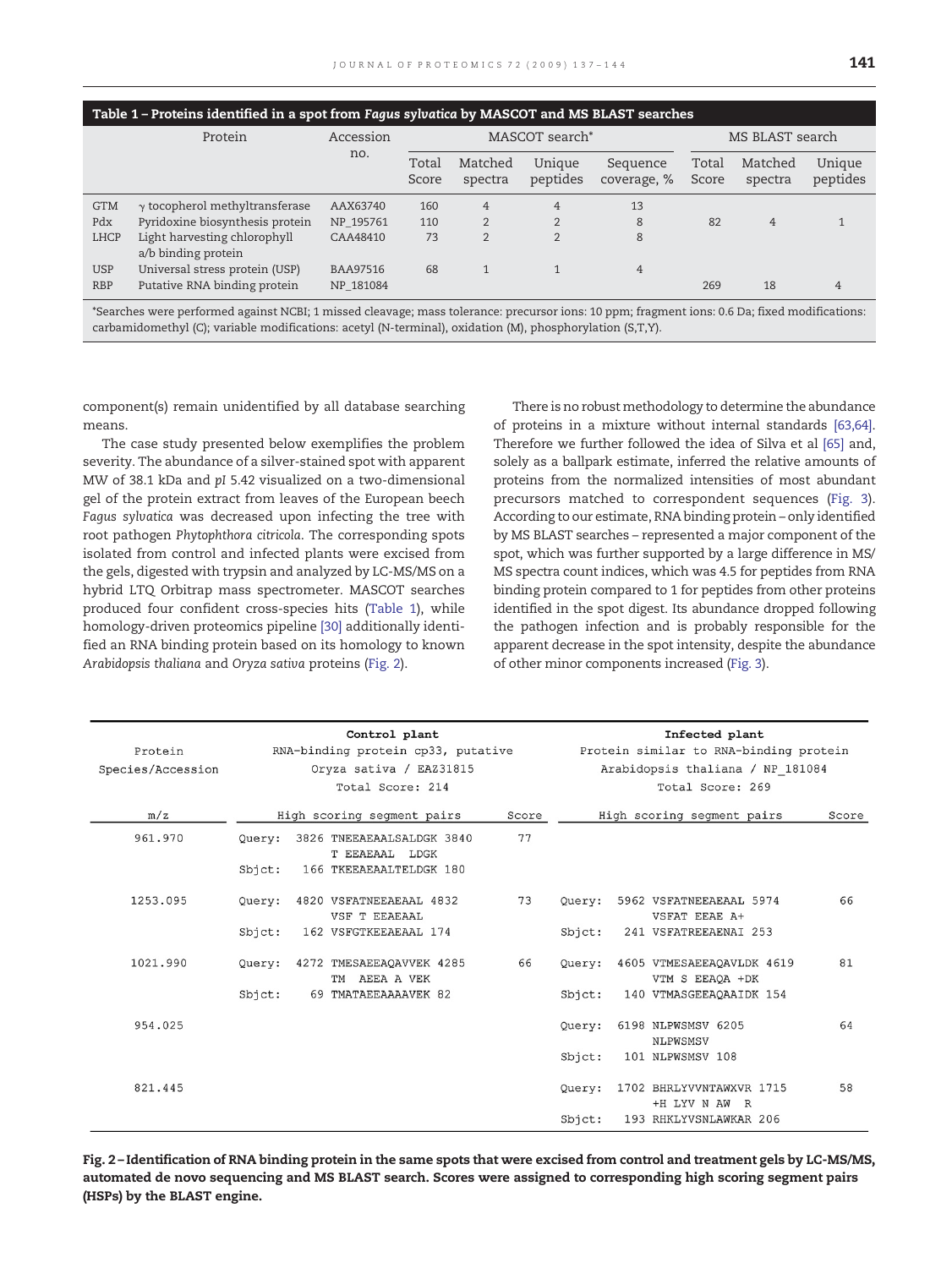<span id="page-4-0"></span>

| Table 1 – Proteins identified in a spot from Fagus sylvatica by MASCOT and MS BLAST searches |                                                                |                              |                |                    |                            |                         |                |                    |                    |  |  |
|----------------------------------------------------------------------------------------------|----------------------------------------------------------------|------------------------------|----------------|--------------------|----------------------------|-------------------------|----------------|--------------------|--------------------|--|--|
|                                                                                              | Protein                                                        | Accession                    |                |                    | MASCOT search <sup>*</sup> |                         |                |                    | MS BLAST search    |  |  |
|                                                                                              |                                                                | no.                          | Total<br>Score | Matched<br>spectra | Unique<br>peptides         | Sequence<br>coverage, % | Total<br>Score | Matched<br>spectra | Unique<br>peptides |  |  |
| <b>GTM</b>                                                                                   | $\gamma$ tocopherol methyltransferase                          | AAX63740                     | 160            | $\overline{4}$     | $\overline{4}$             | 13                      |                |                    |                    |  |  |
| Pdx                                                                                          | Pyridoxine biosynthesis protein                                | NP 195761                    | 110            | $\overline{2}$     | $\overline{2}$             | 8                       | 82             | 4                  | 1                  |  |  |
| <b>LHCP</b>                                                                                  | Light harvesting chlorophyll<br>a/b binding protein            | CAA48410                     | 73             | $\overline{2}$     | $\overline{2}$             | 8                       |                |                    |                    |  |  |
| <b>USP</b><br><b>RBP</b>                                                                     | Universal stress protein (USP)<br>Putative RNA binding protein | <b>BAA97516</b><br>NP 181084 | 68             |                    |                            | 4                       | 269            | 18                 | 4                  |  |  |

⁎Searches were performed against NCBI; 1 missed cleavage; mass tolerance: precursor ions: 10 ppm; fragment ions: 0.6 Da; fixed modifications: carbamidomethyl (C); variable modifications: acetyl (N-terminal), oxidation (M), phosphorylation (S,T,Y).

component(s) remain unidentified by all database searching means.

The case study presented below exemplifies the problem severity. The abundance of a silver-stained spot with apparent MW of 38.1 kDa and pI 5.42 visualized on a two-dimensional gel of the protein extract from leaves of the European beech Fagus sylvatica was decreased upon infecting the tree with root pathogen Phytophthora citricola. The corresponding spots isolated from control and infected plants were excised from the gels, digested with trypsin and analyzed by LC-MS/MS on a hybrid LTQ Orbitrap mass spectrometer. MASCOT searches produced four confident cross-species hits (Table 1), while homology-driven proteomics pipeline [\[30\]](#page-6-0) additionally identified an RNA binding protein based on its homology to known Arabidopsis thaliana and Oryza sativa proteins (Fig. 2).

There is no robust methodology to determine the abundance of proteins in a mixture without internal standards [\[63,64\].](#page-7-0) Therefore we further followed the idea of Silva et al [\[65\]](#page-7-0) and, solely as a ballpark estimate, inferred the relative amounts of proteins from the normalized intensities of most abundant precursors matched to correspondent sequences ([Fig. 3](#page-5-0)). According to our estimate, RNA binding protein – only identified by MS BLAST searches – represented a major component of the spot, which was further supported by a large difference in MS/ MS spectra count indices, which was 4.5 for peptides from RNA binding protein compared to 1 for peptides from other proteins identified in the spot digest. Its abundance dropped following the pathogen infection and is probably responsible for the apparent decrease in the spot intensity, despite the abundance of other minor components increased [\(Fig. 3\)](#page-5-0).

|                   |                                    | Control plant                                   |       | Infected plant                      |                                        |                                              |    |  |  |  |
|-------------------|------------------------------------|-------------------------------------------------|-------|-------------------------------------|----------------------------------------|----------------------------------------------|----|--|--|--|
| Protein           | RNA-binding protein cp33, putative |                                                 |       |                                     | Protein similar to RNA-binding protein |                                              |    |  |  |  |
| Species/Accession | Oryza sativa / EAZ31815            |                                                 |       |                                     |                                        | Arabidopsis thaliana / NP 181084             |    |  |  |  |
|                   | Total Score: 214                   |                                                 |       |                                     | Total Score: 269                       |                                              |    |  |  |  |
| m/z               |                                    | High scoring segment pairs                      | Score | High scoring segment pairs<br>Score |                                        |                                              |    |  |  |  |
| 961.970           | Ouery:                             | 3826 TNEEAEAALSALDGK 3840<br>T EEAEAAL LDGK     | 77    |                                     |                                        |                                              |    |  |  |  |
|                   | Sbict:                             | 166 TKEEAEAALTELDGK 180                         |       |                                     |                                        |                                              |    |  |  |  |
| 1253.095          | Query:                             | 4820 VSFATNEEAEAAL 4832<br><b>VSF T EEAEAAL</b> | 73    | Ouery:                              |                                        | 5962 VSFATNEEAEAAL 5974<br>VSFAT EEAE A+     | 66 |  |  |  |
|                   | Sbict:                             | 162 VSFGTKEEAEAAL 174                           |       | Sbict:                              |                                        | 241 VSFATREEAENAI 253                        |    |  |  |  |
| 1021.990          | Query:                             | 4272 TMESAEEAQAVVEK 4285<br>AEEA A VEK<br>TM    | 66    | Query:                              |                                        | 4605 VTMESAEEAQAVLDK 4619<br>VTM S EEAOA +DK | 81 |  |  |  |
|                   | Sbjct:                             | 69 TMATAEEAAAAVEK 82                            |       | Sbjct:                              |                                        | 140 VTMASGEEAOAAIDK 154                      |    |  |  |  |
| 954.025           |                                    |                                                 |       | Query:                              |                                        | 6198 NLPWSMSV 6205<br>NLPWSMSV               | 64 |  |  |  |
|                   |                                    |                                                 |       | Sbict:                              |                                        | 101 NLPWSMSV 108                             |    |  |  |  |
| 821.445           |                                    |                                                 |       | Query:                              |                                        | 1702 BHRLYVVNTAWXVR 1715<br>+H LYV N AW R    | 58 |  |  |  |
|                   |                                    |                                                 |       | Sbict:                              |                                        | 193 RHKLYVSNLAWKAR 206                       |    |  |  |  |

Fig. 2 – Identification of RNA binding protein in the same spots that were excised from control and treatment gels by LC-MS/MS, automated de novo sequencing and MS BLAST search. Scores were assigned to corresponding high scoring segment pairs (HSPs) by the BLAST engine.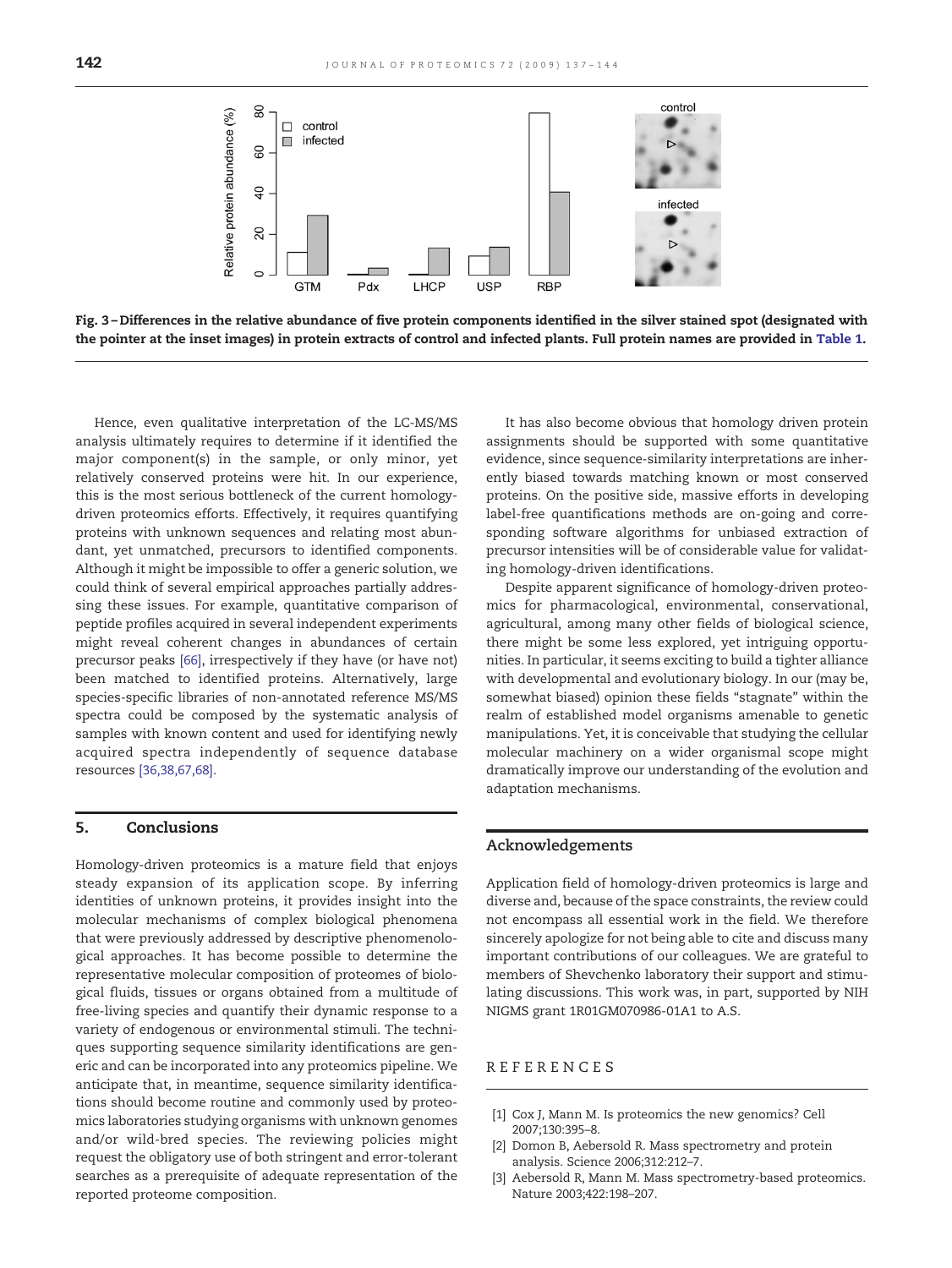<span id="page-5-0"></span>

Fig. 3 – Differences in the relative abundance of five protein components identified in the silver stained spot (designated with the pointer at the inset images) in protein extracts of control and infected plants. Full protein names are provided in [Table 1.](#page-4-0)

Hence, even qualitative interpretation of the LC-MS/MS analysis ultimately requires to determine if it identified the major component(s) in the sample, or only minor, yet relatively conserved proteins were hit. In our experience, this is the most serious bottleneck of the current homologydriven proteomics efforts. Effectively, it requires quantifying proteins with unknown sequences and relating most abundant, yet unmatched, precursors to identified components. Although it might be impossible to offer a generic solution, we could think of several empirical approaches partially addressing these issues. For example, quantitative comparison of peptide profiles acquired in several independent experiments might reveal coherent changes in abundances of certain precursor peaks [\[66\]](#page-7-0), irrespectively if they have (or have not) been matched to identified proteins. Alternatively, large species-specific libraries of non-annotated reference MS/MS spectra could be composed by the systematic analysis of samples with known content and used for identifying newly acquired spectra independently of sequence database resources [\[36,38,67,68\]](#page-6-0).

### 5. Conclusions

Homology-driven proteomics is a mature field that enjoys steady expansion of its application scope. By inferring identities of unknown proteins, it provides insight into the molecular mechanisms of complex biological phenomena that were previously addressed by descriptive phenomenological approaches. It has become possible to determine the representative molecular composition of proteomes of biological fluids, tissues or organs obtained from a multitude of free-living species and quantify their dynamic response to a variety of endogenous or environmental stimuli. The techniques supporting sequence similarity identifications are generic and can be incorporated into any proteomics pipeline. We anticipate that, in meantime, sequence similarity identifications should become routine and commonly used by proteomics laboratories studying organisms with unknown genomes and/or wild-bred species. The reviewing policies might request the obligatory use of both stringent and error-tolerant searches as a prerequisite of adequate representation of the reported proteome composition.

It has also become obvious that homology driven protein assignments should be supported with some quantitative evidence, since sequence-similarity interpretations are inherently biased towards matching known or most conserved proteins. On the positive side, massive efforts in developing label-free quantifications methods are on-going and corresponding software algorithms for unbiased extraction of precursor intensities will be of considerable value for validating homology-driven identifications.

Despite apparent significance of homology-driven proteomics for pharmacological, environmental, conservational, agricultural, among many other fields of biological science, there might be some less explored, yet intriguing opportunities. In particular, it seems exciting to build a tighter alliance with developmental and evolutionary biology. In our (may be, somewhat biased) opinion these fields "stagnate" within the realm of established model organisms amenable to genetic manipulations. Yet, it is conceivable that studying the cellular molecular machinery on a wider organismal scope might dramatically improve our understanding of the evolution and adaptation mechanisms.

#### Acknowledgements

Application field of homology-driven proteomics is large and diverse and, because of the space constraints, the review could not encompass all essential work in the field. We therefore sincerely apologize for not being able to cite and discuss many important contributions of our colleagues. We are grateful to members of Shevchenko laboratory their support and stimulating discussions. This work was, in part, supported by NIH NIGMS grant 1R01GM070986-01A1 to A.S.

#### REFERENCES

- [1] Cox J, Mann M. Is proteomics the new genomics? Cell 2007;130:395–8.
- [2] Domon B, Aebersold R. Mass spectrometry and protein analysis. Science 2006;312:212–7.
- Aebersold R, Mann M. Mass spectrometry-based proteomics. Nature 2003;422:198–207.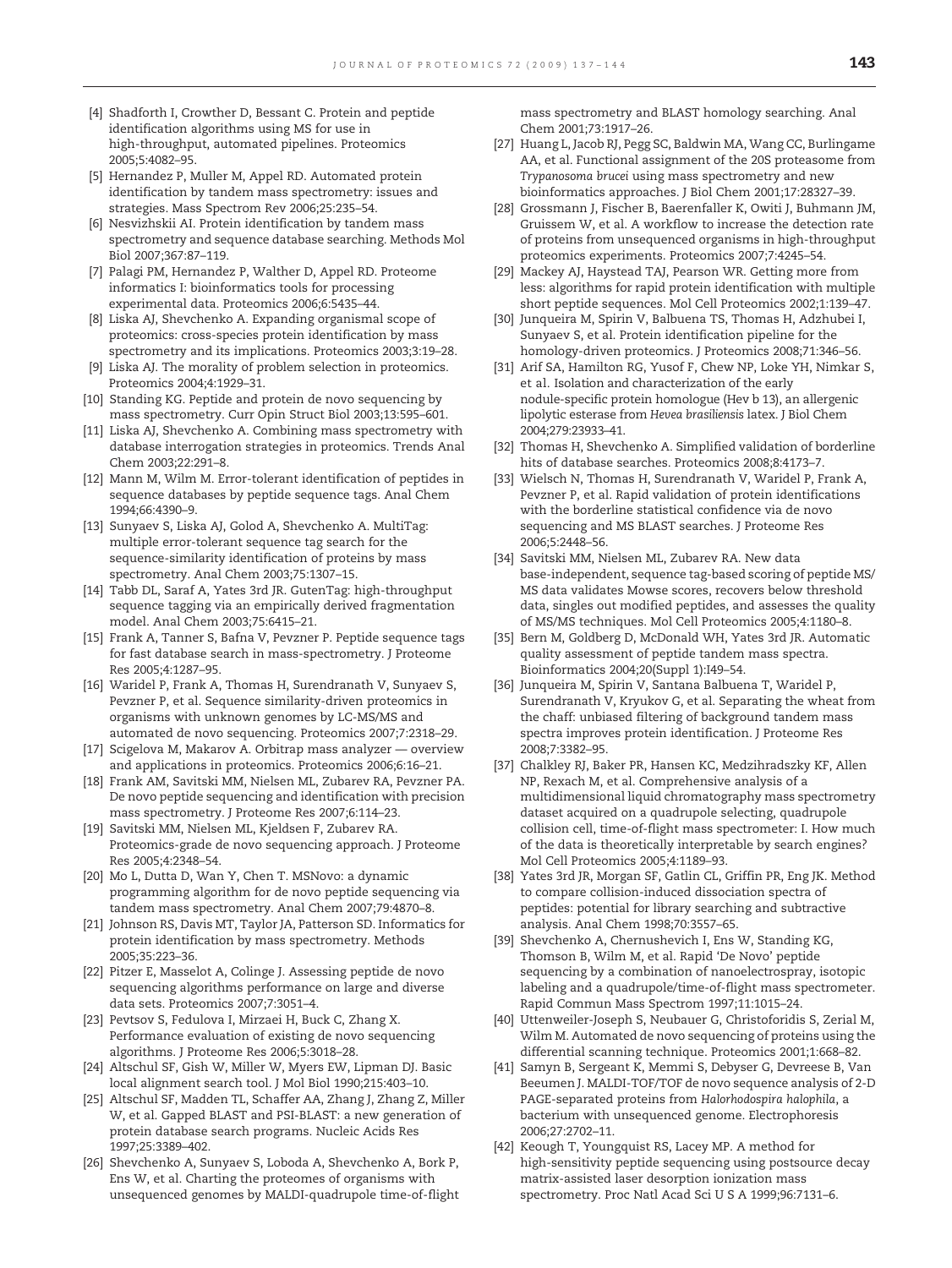- <span id="page-6-0"></span>[4] Shadforth I, Crowther D, Bessant C. Protein and peptide identification algorithms using MS for use in high-throughput, automated pipelines. Proteomics 2005;5:4082–95.
- [5] Hernandez P, Muller M, Appel RD. Automated protein identification by tandem mass spectrometry: issues and strategies. Mass Spectrom Rev 2006;25:235–54.
- [6] Nesvizhskii AI. Protein identification by tandem mass spectrometry and sequence database searching. Methods Mol Biol 2007;367:87–119.
- [7] Palagi PM, Hernandez P, Walther D, Appel RD. Proteome informatics I: bioinformatics tools for processing experimental data. Proteomics 2006;6:5435–44.
- [8] Liska AJ, Shevchenko A. Expanding organismal scope of proteomics: cross-species protein identification by mass spectrometry and its implications. Proteomics 2003;3:19–28.
- [9] Liska AJ. The morality of problem selection in proteomics. Proteomics 2004;4:1929–31.
- [10] Standing KG. Peptide and protein de novo sequencing by mass spectrometry. Curr Opin Struct Biol 2003;13:595–601.
- [11] Liska AJ, Shevchenko A. Combining mass spectrometry with database interrogation strategies in proteomics. Trends Anal Chem 2003;22:291–8.
- [12] Mann M, Wilm M. Error-tolerant identification of peptides in sequence databases by peptide sequence tags. Anal Chem 1994;66:4390–9.
- [13] Sunyaev S, Liska AJ, Golod A, Shevchenko A. MultiTag: multiple error-tolerant sequence tag search for the sequence-similarity identification of proteins by mass spectrometry. Anal Chem 2003;75:1307–15.
- [14] Tabb DL, Saraf A, Yates 3rd JR. GutenTag: high-throughput sequence tagging via an empirically derived fragmentation model. Anal Chem 2003;75:6415–21.
- [15] Frank A, Tanner S, Bafna V, Pevzner P. Peptide sequence tags for fast database search in mass-spectrometry. J Proteome Res 2005;4:1287–95.
- [16] Waridel P, Frank A, Thomas H, Surendranath V, Sunyaev S, Pevzner P, et al. Sequence similarity-driven proteomics in organisms with unknown genomes by LC-MS/MS and automated de novo sequencing. Proteomics 2007;7:2318–29.
- [17] Scigelova M, Makarov A. Orbitrap mass analyzer overview and applications in proteomics. Proteomics 2006;6:16–21.
- [18] Frank AM, Savitski MM, Nielsen ML, Zubarev RA, Pevzner PA. De novo peptide sequencing and identification with precision mass spectrometry. J Proteome Res 2007;6:114–23.
- [19] Savitski MM, Nielsen ML, Kjeldsen F, Zubarev RA. Proteomics-grade de novo sequencing approach. J Proteome Res 2005;4:2348–54.
- [20] Mo L, Dutta D, Wan Y, Chen T. MSNovo: a dynamic programming algorithm for de novo peptide sequencing via tandem mass spectrometry. Anal Chem 2007;79:4870–8.
- [21] Johnson RS, Davis MT, Taylor JA, Patterson SD. Informatics for protein identification by mass spectrometry. Methods 2005;35:223–36.
- [22] Pitzer E, Masselot A, Colinge J. Assessing peptide de novo sequencing algorithms performance on large and diverse data sets. Proteomics 2007;7:3051–4.
- [23] Pevtsov S, Fedulova I, Mirzaei H, Buck C, Zhang X. Performance evaluation of existing de novo sequencing algorithms. J Proteome Res 2006;5:3018–28.
- [24] Altschul SF, Gish W, Miller W, Myers EW, Lipman DJ. Basic local alignment search tool. J Mol Biol 1990;215:403–10.
- [25] Altschul SF, Madden TL, Schaffer AA, Zhang J, Zhang Z, Miller W, et al. Gapped BLAST and PSI-BLAST: a new generation of protein database search programs. Nucleic Acids Res 1997;25:3389–402.
- [26] Shevchenko A, Sunyaev S, Loboda A, Shevchenko A, Bork P, Ens W, et al. Charting the proteomes of organisms with unsequenced genomes by MALDI-quadrupole time-of-flight

mass spectrometry and BLAST homology searching. Anal Chem 2001;73:1917–26.

- [27] Huang L, Jacob RJ, Pegg SC, Baldwin MA, Wang CC, Burlingame AA, et al. Functional assignment of the 20S proteasome from Trypanosoma brucei using mass spectrometry and new bioinformatics approaches. J Biol Chem 2001;17:28327–39.
- [28] Grossmann J, Fischer B, Baerenfaller K, Owiti J, Buhmann JM, Gruissem W, et al. A workflow to increase the detection rate of proteins from unsequenced organisms in high-throughput proteomics experiments. Proteomics 2007;7:4245–54.
- [29] Mackey AJ, Haystead TAJ, Pearson WR. Getting more from less: algorithms for rapid protein identification with multiple short peptide sequences. Mol Cell Proteomics 2002;1:139–47.
- [30] Junqueira M, Spirin V, Balbuena TS, Thomas H, Adzhubei I, Sunyaev S, et al. Protein identification pipeline for the homology-driven proteomics. J Proteomics 2008;71:346–56.
- [31] Arif SA, Hamilton RG, Yusof F, Chew NP, Loke YH, Nimkar S, et al. Isolation and characterization of the early nodule-specific protein homologue (Hev b 13), an allergenic lipolytic esterase from Hevea brasiliensis latex. J Biol Chem 2004;279:23933–41.
- [32] Thomas H, Shevchenko A. Simplified validation of borderline hits of database searches. Proteomics 2008;8:4173–7.
- [33] Wielsch N, Thomas H, Surendranath V, Waridel P, Frank A, Pevzner P, et al. Rapid validation of protein identifications with the borderline statistical confidence via de novo sequencing and MS BLAST searches. J Proteome Res 2006;5:2448–56.
- [34] Savitski MM, Nielsen ML, Zubarev RA. New data base-independent, sequence tag-based scoring of peptide MS/ MS data validates Mowse scores, recovers below threshold data, singles out modified peptides, and assesses the quality of MS/MS techniques. Mol Cell Proteomics 2005;4:1180–8.
- [35] Bern M, Goldberg D, McDonald WH, Yates 3rd JR. Automatic quality assessment of peptide tandem mass spectra. Bioinformatics 2004;20(Suppl 1):I49–54.
- [36] Junqueira M, Spirin V, Santana Balbuena T, Waridel P, Surendranath V, Kryukov G, et al. Separating the wheat from the chaff: unbiased filtering of background tandem mass spectra improves protein identification. J Proteome Res 2008;7:3382–95.
- [37] Chalkley RJ, Baker PR, Hansen KC, Medzihradszky KF, Allen NP, Rexach M, et al. Comprehensive analysis of a multidimensional liquid chromatography mass spectrometry dataset acquired on a quadrupole selecting, quadrupole collision cell, time-of-flight mass spectrometer: I. How much of the data is theoretically interpretable by search engines? Mol Cell Proteomics 2005;4:1189–93.
- [38] Yates 3rd JR, Morgan SF, Gatlin CL, Griffin PR, Eng JK. Method to compare collision-induced dissociation spectra of peptides: potential for library searching and subtractive analysis. Anal Chem 1998;70:3557–65.
- [39] Shevchenko A, Chernushevich I, Ens W, Standing KG, Thomson B, Wilm M, et al. Rapid 'De Novo' peptide sequencing by a combination of nanoelectrospray, isotopic labeling and a quadrupole/time-of-flight mass spectrometer. Rapid Commun Mass Spectrom 1997;11:1015–24.
- [40] Uttenweiler-Joseph S, Neubauer G, Christoforidis S, Zerial M, Wilm M. Automated de novo sequencing of proteins using the differential scanning technique. Proteomics 2001;1:668–82.
- [41] Samyn B, Sergeant K, Memmi S, Debyser G, Devreese B, Van Beeumen J. MALDI-TOF/TOF de novo sequence analysis of 2-D PAGE-separated proteins from Halorhodospira halophila, a bacterium with unsequenced genome. Electrophoresis 2006;27:2702–11.
- [42] Keough T, Youngquist RS, Lacey MP. A method for high-sensitivity peptide sequencing using postsource decay matrix-assisted laser desorption ionization mass spectrometry. Proc Natl Acad Sci U S A 1999;96:7131–6.